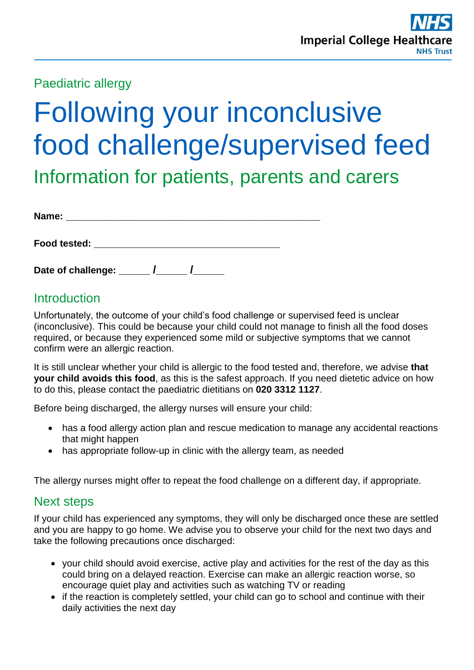Paediatric allergy

# Following your inconclusive food challenge/supervised feed

Information for patients, parents and carers

| Name: |  |  |  |  |  |
|-------|--|--|--|--|--|
|       |  |  |  |  |  |

| Food tested: |
|--------------|
|--------------|

**Date of challenge: \_\_\_\_\_ /\_\_\_\_\_ /\_\_\_\_\_** 

## **Introduction**

Unfortunately, the outcome of your child's food challenge or supervised feed is unclear (inconclusive). This could be because your child could not manage to finish all the food doses required, or because they experienced some mild or subjective symptoms that we cannot confirm were an allergic reaction.

It is still unclear whether your child is allergic to the food tested and, therefore, we advise **that your child avoids this food**, as this is the safest approach. If you need dietetic advice on how to do this, please contact the paediatric dietitians on **020 3312 1127**.

Before being discharged, the allergy nurses will ensure your child:

- has a food allergy action plan and rescue medication to manage any accidental reactions that might happen
- has appropriate follow-up in clinic with the allergy team, as needed

The allergy nurses might offer to repeat the food challenge on a different day, if appropriate.

## Next steps

If your child has experienced any symptoms, they will only be discharged once these are settled and you are happy to go home. We advise you to observe your child for the next two days and take the following precautions once discharged:

- your child should avoid exercise, active play and activities for the rest of the day as this could bring on a delayed reaction. Exercise can make an allergic reaction worse, so encourage quiet play and activities such as watching TV or reading
- if the reaction is completely settled, your child can go to school and continue with their daily activities the next day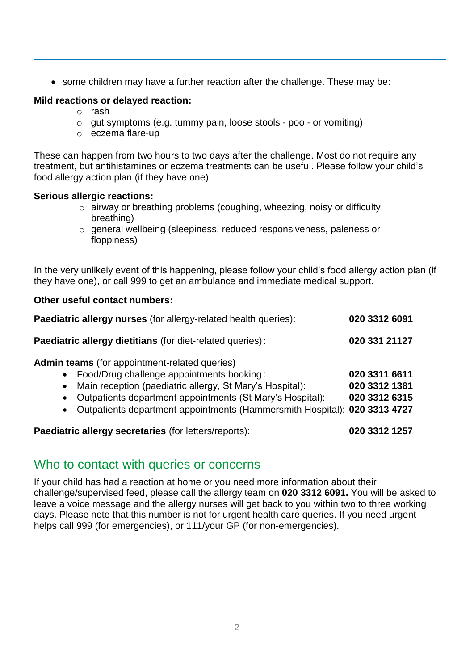• some children may have a further reaction after the challenge. These may be:

#### **Mild reactions or delayed reaction:**

- o rash
- o gut symptoms (e.g. tummy pain, loose stools poo or vomiting)
- o eczema flare-up

These can happen from two hours to two days after the challenge. Most do not require any treatment, but antihistamines or eczema treatments can be useful. Please follow your child's food allergy action plan (if they have one).

#### **Serious allergic reactions:**

- o airway or breathing problems (coughing, wheezing, noisy or difficulty breathing)
- o general wellbeing (sleepiness, reduced responsiveness, paleness or floppiness)

In the very unlikely event of this happening, please follow your child's food allergy action plan (if they have one), or call 999 to get an ambulance and immediate medical support.

#### **Other useful contact numbers:**

| Paediatric allergy nurses (for allergy-related health queries):                                                                                                                                                                                                                                                                                      | 020 3312 6091                                   |  |  |
|------------------------------------------------------------------------------------------------------------------------------------------------------------------------------------------------------------------------------------------------------------------------------------------------------------------------------------------------------|-------------------------------------------------|--|--|
| <b>Paediatric allergy dietitians (for diet-related queries):</b>                                                                                                                                                                                                                                                                                     | 020 331 21127                                   |  |  |
| Admin teams (for appointment-related queries)<br>Food/Drug challenge appointments booking:<br>$\bullet$<br>Main reception (paediatric allergy, St Mary's Hospital):<br>$\bullet$<br>Outpatients department appointments (St Mary's Hospital):<br>$\bullet$<br>Outpatients department appointments (Hammersmith Hospital): 020 3313 4727<br>$\bullet$ | 020 3311 6611<br>020 3312 1381<br>020 3312 6315 |  |  |
| <b>Paediatric allergy secretaries (for letters/reports):</b>                                                                                                                                                                                                                                                                                         | 020 3312 1257                                   |  |  |

### Who to contact with queries or concerns

If your child has had a reaction at home or you need more information about their challenge/supervised feed, please call the allergy team on **020 3312 6091.** You will be asked to leave a voice message and the allergy nurses will get back to you within two to three working days. Please note that this number is not for urgent health care queries. If you need urgent helps call 999 (for emergencies), or 111/your GP (for non-emergencies).